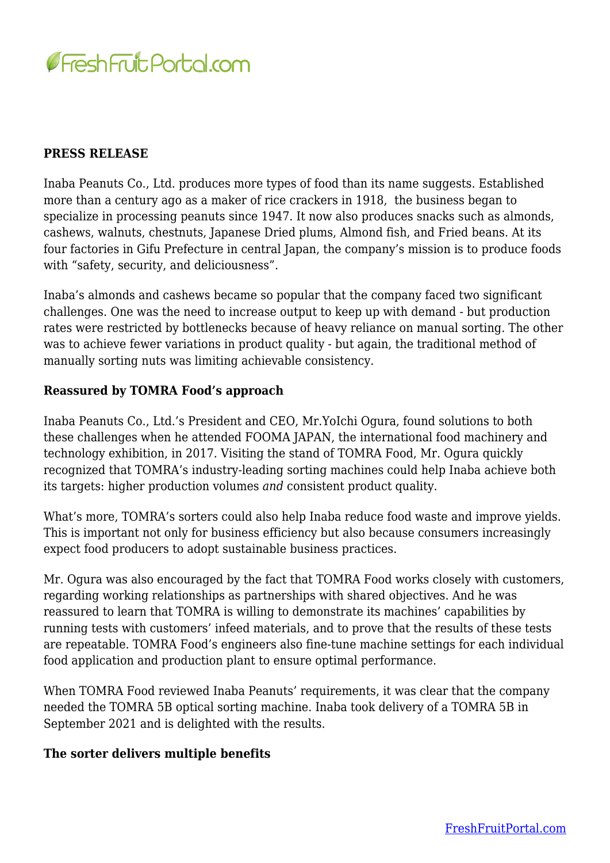

## **PRESS RELEASE**

Inaba Peanuts Co., Ltd. produces more types of food than its name suggests. Established more than a century ago as a maker of rice crackers in 1918, the business began to specialize in processing peanuts since 1947. It now also produces snacks such as almonds, cashews, walnuts, chestnuts, Japanese Dried plums, Almond fish, and Fried beans. At its four factories in Gifu Prefecture in central Japan, the company's mission is to produce foods with "safety, security, and deliciousness".

Inaba's almonds and cashews became so popular that the company faced two significant challenges. One was the need to increase output to keep up with demand - but production rates were restricted by bottlenecks because of heavy reliance on manual sorting. The other was to achieve fewer variations in product quality - but again, the traditional method of manually sorting nuts was limiting achievable consistency.

## **Reassured by TOMRA Food's approach**

Inaba Peanuts Co., Ltd.'s President and CEO, Mr.YoIchi Ogura, found solutions to both these challenges when he attended FOOMA JAPAN, the international food machinery and technology exhibition, in 2017. Visiting the stand of TOMRA Food, Mr. Ogura quickly recognized that TOMRA's industry-leading sorting machines could help Inaba achieve both its targets: higher production volumes *and* consistent product quality.

What's more, TOMRA's sorters could also help Inaba reduce food waste and improve yields. This is important not only for business efficiency but also because consumers increasingly expect food producers to adopt sustainable business practices.

Mr. Ogura was also encouraged by the fact that TOMRA Food works closely with customers, regarding working relationships as partnerships with shared objectives. And he was reassured to learn that TOMRA is willing to demonstrate its machines' capabilities by running tests with customers' infeed materials, and to prove that the results of these tests are repeatable. TOMRA Food's engineers also fine-tune machine settings for each individual food application and production plant to ensure optimal performance.

When TOMRA Food reviewed Inaba Peanuts' requirements, it was clear that the company needed the TOMRA 5B optical sorting machine. Inaba took delivery of a TOMRA 5B in September 2021 and is delighted with the results.

## **The sorter delivers multiple benefits**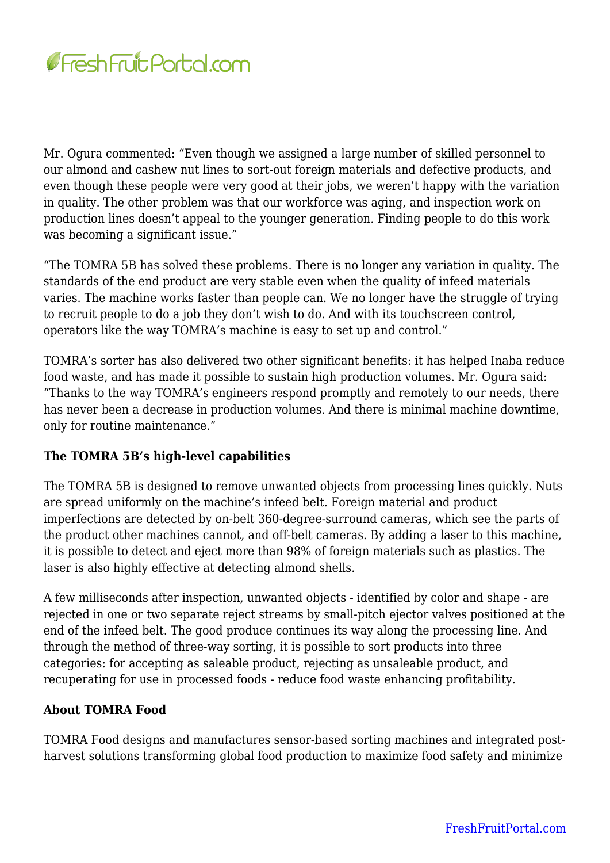

Mr. Ogura commented: "Even though we assigned a large number of skilled personnel to our almond and cashew nut lines to sort-out foreign materials and defective products, and even though these people were very good at their jobs, we weren't happy with the variation in quality. The other problem was that our workforce was aging, and inspection work on production lines doesn't appeal to the younger generation. Finding people to do this work was becoming a significant issue."

"The TOMRA 5B has solved these problems. There is no longer any variation in quality. The standards of the end product are very stable even when the quality of infeed materials varies. The machine works faster than people can. We no longer have the struggle of trying to recruit people to do a job they don't wish to do. And with its touchscreen control, operators like the way TOMRA's machine is easy to set up and control."

TOMRA's sorter has also delivered two other significant benefits: it has helped Inaba reduce food waste, and has made it possible to sustain high production volumes. Mr. Ogura said: "Thanks to the way TOMRA's engineers respond promptly and remotely to our needs, there has never been a decrease in production volumes. And there is minimal machine downtime, only for routine maintenance."

# **The TOMRA 5B's high-level capabilities**

The TOMRA 5B is designed to remove unwanted objects from processing lines quickly. Nuts are spread uniformly on the machine's infeed belt. Foreign material and product imperfections are detected by on-belt 360-degree-surround cameras, which see the parts of the product other machines cannot, and off-belt cameras. By adding a laser to this machine, it is possible to detect and eject more than 98% of foreign materials such as plastics. The laser is also highly effective at detecting almond shells.

A few milliseconds after inspection, unwanted objects - identified by color and shape - are rejected in one or two separate reject streams by small-pitch ejector valves positioned at the end of the infeed belt. The good produce continues its way along the processing line. And through the method of three-way sorting, it is possible to sort products into three categories: for accepting as saleable product, rejecting as unsaleable product, and recuperating for use in processed foods - reduce food waste enhancing profitability.

# **About TOMRA Food**

TOMRA Food designs and manufactures sensor-based sorting machines and integrated postharvest solutions transforming global food production to maximize food safety and minimize